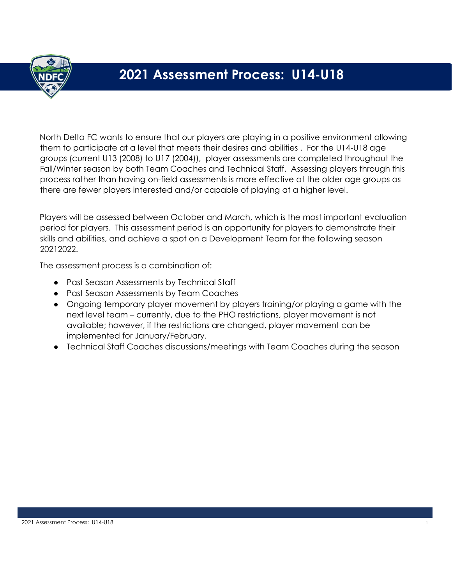

# **2021 Assessment Process: U14-U18**

North Delta FC wants to ensure that our players are playing in a positive environment allowing them to participate at a level that meets their desires and abilities . For the U14-U18 age groups (current U13 (2008) to U17 (2004)), player assessments are completed throughout the Fall/Winter season by both Team Coaches and Technical Staff. Assessing players through this process rather than having on-field assessments is more effective at the older age groups as there are fewer players interested and/or capable of playing at a higher level.

Players will be assessed between October and March, which is the most important evaluation period for players. This assessment period is an opportunity for players to demonstrate their skills and abilities, and achieve a spot on a Development Team for the following season 20212022.

The assessment process is a combination of:

- Past Season Assessments by Technical Staff
- Past Season Assessments by Team Coaches
- Ongoing temporary player movement by players training/or playing a game with the next level team – currently, due to the PHO restrictions, player movement is not available; however, if the restrictions are changed, player movement can be implemented for January/February.
- Technical Staff Coaches discussions/meetings with Team Coaches during the season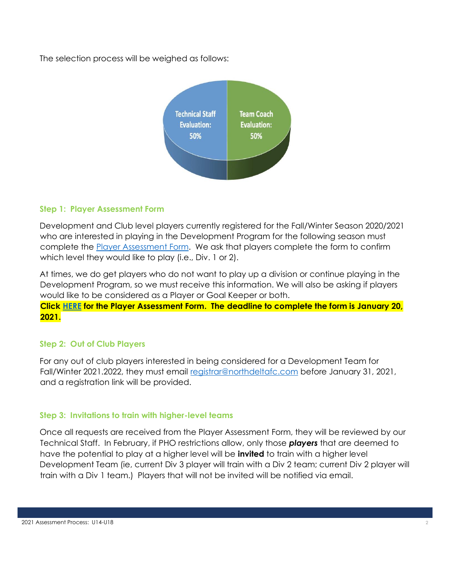The selection process will be weighed as follows:



### **Step 1: Player Assessment Form**

Development and Club level players currently registered for the Fall/Winter Season 2020/2021 who are interested in playing in the Development Program for the following season must complete the [Player Assessment Form.](https://forms.gle/8XwET19HCCDoXR6x5) We ask that players complete the form to confirm which level they would like to play (i.e., Div. 1 or 2).

At times, we do get players who do not want to play up a division or continue playing in the Development Program, so we must receive this information. We will also be asking if players would like to be considered as a Player or Goal Keeper or both.

**Click [HERE](https://forms.gle/8XwET19HCCDoXR6x5) for the Player Assessment Form. The deadline to complete the form is January 20, 2021.**

## **Step 2: Out of Club Players**

For any out of club players interested in being considered for a Development Team for Fall/Winter 2021.2022, they must email [registrar@northdeltafc.com](mailto:registrar@northdeltafc.com) before January 31, 2021, and a registration link will be provided.

#### **Step 3: Invitations to train with higher-level teams**

Once all requests are received from the Player Assessment Form, they will be reviewed by our Technical Staff. In February, if PHO restrictions allow, only those *players* that are deemed to have the potential to play at a higher level will be **invited** to train with a higher level Development Team (ie, current Div 3 player will train with a Div 2 team; current Div 2 player will train with a Div 1 team.) Players that will not be invited will be notified via email.